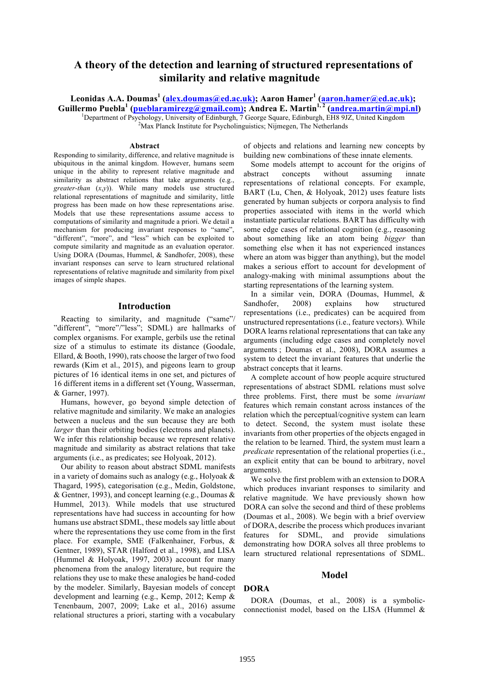# **A theory of the detection and learning of structured representations of similarity and relative magnitude**

**Leonidas A.A. Doumas<sup>1</sup> (alex.doumas@ed.ac.uk); Aaron Hamer<sup>1</sup> (aaron.hamer@ed.ac.uk); Guillermo Puebla<sup>1</sup> (pueblaramirezg@gmail.com); Andrea E. Martin1, <sup>2</sup> (andrea.martin@mpi.nl)** <sup>1</sup> <sup>1</sup>Department of Psychology, University of Edinburgh, 7 George Square, Edinburgh, EH8 9JZ, United Kingdom <sup>2</sup>Max Planck Institute for Psycholinguistics; Nijmegen, The Netherlands

#### **Abstract**

Responding to similarity, difference, and relative magnitude is ubiquitous in the animal kingdom. However, humans seem unique in the ability to represent relative magnitude and similarity as abstract relations that take arguments (e.g., *greater-than* (*x*,*y*)). While many models use structured relational representations of magnitude and similarity, little progress has been made on how these representations arise. Models that use these representations assume access to computations of similarity and magnitude a priori. We detail a mechanism for producing invariant responses to "same", "different", "more", and "less" which can be exploited to compute similarity and magnitude as an evaluation operator. Using DORA (Doumas, Hummel, & Sandhofer, 2008), these invariant responses can serve to learn structured relational representations of relative magnitude and similarity from pixel images of simple shapes.

### **Introduction**

Reacting to similarity, and magnitude ("same"/ "different", "more"/"less"; SDML) are hallmarks of complex organisms. For example, gerbils use the retinal size of a stimulus to estimate its distance (Goodale, Ellard, & Booth, 1990), rats choose the larger of two food rewards (Kim et al., 2015), and pigeons learn to group pictures of 16 identical items in one set, and pictures of 16 different items in a different set (Young, Wasserman, & Garner, 1997).

Humans, however, go beyond simple detection of relative magnitude and similarity. We make an analogies between a nucleus and the sun because they are both *larger* than their orbiting bodies (electrons and planets). We infer this relationship because we represent relative magnitude and similarity as abstract relations that take arguments (i.e., as predicates; see Holyoak, 2012).

Our ability to reason about abstract SDML manifests in a variety of domains such as analogy (e.g., Holyoak & Thagard, 1995), categorisation (e.g., Medin, Goldstone, & Gentner, 1993), and concept learning (e.g., Doumas & Hummel, 2013). While models that use structured representations have had success in accounting for how humans use abstract SDML, these models say little about where the representations they use come from in the first place. For example, SME (Falkenhainer, Forbus, & Gentner, 1989), STAR (Halford et al., 1998), and LISA (Hummel & Holyoak, 1997, 2003) account for many phenomena from the analogy literature, but require the relations they use to make these analogies be hand-coded by the modeler. Similarly, Bayesian models of concept development and learning (e.g., Kemp, 2012; Kemp & Tenenbaum, 2007, 2009; Lake et al., 2016) assume relational structures a priori, starting with a vocabulary

of objects and relations and learning new concepts by building new combinations of these innate elements.

Some models attempt to account for the origins of abstract concepts without assuming innate representations of relational concepts. For example, BART (Lu, Chen, & Holyoak, 2012) uses feature lists generated by human subjects or corpora analysis to find properties associated with items in the world which instantiate particular relations. BART has difficulty with some edge cases of relational cognition (e.g., reasoning about something like an atom being *bigger* than something else when it has not experienced instances where an atom was bigger than anything), but the model makes a serious effort to account for development of analogy-making with minimal assumptions about the starting representations of the learning system.

In a similar vein, DORA (Doumas, Hummel, & Sandhofer, 2008) explains how structured representations (i.e., predicates) can be acquired from unstructured representations (i.e., feature vectors). While DORA learns relational representations that can take any arguments (including edge cases and completely novel arguments ; Doumas et al., 2008), DORA assumes a system to detect the invariant features that underlie the abstract concepts that it learns.

A complete account of how people acquire structured representations of abstract SDML relations must solve three problems. First, there must be some *invariant* features which remain constant across instances of the relation which the perceptual/cognitive system can learn to detect. Second, the system must isolate these invariants from other properties of the objects engaged in the relation to be learned. Third, the system must learn a *predicate* representation of the relational properties (i.e., an explicit entity that can be bound to arbitrary, novel arguments).

We solve the first problem with an extension to DORA which produces invariant responses to similarity and relative magnitude. We have previously shown how DORA can solve the second and third of these problems (Doumas et al., 2008). We begin with a brief overview of DORA, describe the process which produces invariant features for SDML, and provide simulations demonstrating how DORA solves all three problems to learn structured relational representations of SDML.

### **Model**

### **DORA**

DORA (Doumas, et al., 2008) is a symbolicconnectionist model, based on the LISA (Hummel &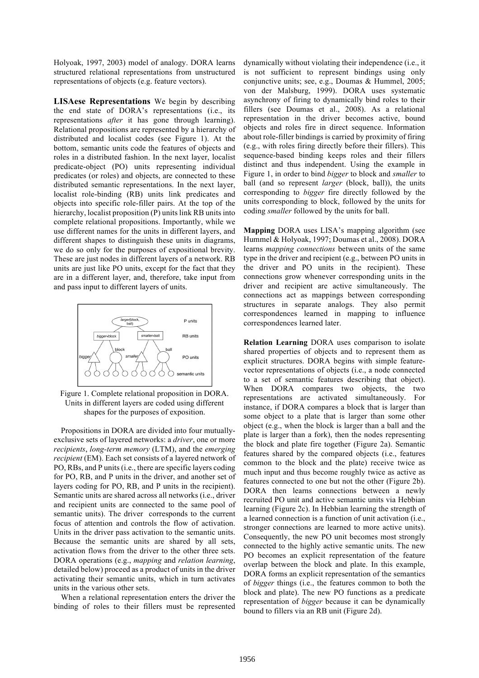Holyoak, 1997, 2003) model of analogy. DORA learns structured relational representations from unstructured representations of objects (e.g. feature vectors).

**LISAese Representations** We begin by describing the end state of DORA's representations (i.e., its representations *after* it has gone through learning). Relational propositions are represented by a hierarchy of distributed and localist codes (see Figure 1). At the bottom, semantic units code the features of objects and roles in a distributed fashion. In the next layer, localist predicate-object (PO) units representing individual predicates (or roles) and objects, are connected to these distributed semantic representations. In the next layer, localist role-binding (RB) units link predicates and objects into specific role-filler pairs. At the top of the hierarchy, localist proposition (P) units link RB units into complete relational propositions. Importantly, while we use different names for the units in different layers, and different shapes to distinguish these units in diagrams, we do so only for the purposes of expositional brevity. These are just nodes in different layers of a network. RB units are just like PO units, except for the fact that they are in a different layer, and, therefore, take input from and pass input to different layers of units.



Figure 1. Complete relational proposition in DORA. Units in different layers are coded using different shapes for the purposes of exposition.

Propositions in DORA are divided into four mutuallyexclusive sets of layered networks: a *driver*, one or more *recipients*, *long-term memory* (LTM), and the *emerging recipient* (EM). Each set consists of a layered network of PO, RBs, and P units (i.e., there are specific layers coding for PO, RB, and P units in the driver, and another set of layers coding for PO, RB, and P units in the recipient). Semantic units are shared across all networks (i.e., driver and recipient units are connected to the same pool of semantic units). The driver corresponds to the current focus of attention and controls the flow of activation. Units in the driver pass activation to the semantic units. Because the semantic units are shared by all sets, activation flows from the driver to the other three sets. DORA operations (e.g., *mapping* and *relation learning*, detailed below) proceed as a product of units in the driver activating their semantic units, which in turn activates units in the various other sets.

When a relational representation enters the driver the binding of roles to their fillers must be represented

dynamically without violating their independence (i.e., it is not sufficient to represent bindings using only conjunctive units; see, e.g., Doumas & Hummel, 2005; von der Malsburg, 1999). DORA uses systematic asynchrony of firing to dynamically bind roles to their fillers (see Doumas et al., 2008). As a relational representation in the driver becomes active, bound objects and roles fire in direct sequence. Information about role-filler bindings is carried by proximity of firing (e.g., with roles firing directly before their fillers). This sequence-based binding keeps roles and their fillers distinct and thus independent. Using the example in Figure 1, in order to bind *bigger* to block and *smaller* to ball (and so represent *larger* (block, ball)), the units corresponding to *bigger* fire directly followed by the units corresponding to block, followed by the units for coding *smaller* followed by the units for ball.

**Mapping** DORA uses LISA's mapping algorithm (see Hummel & Holyoak, 1997; Doumas et al., 2008). DORA learns *mapping connections* between units of the same type in the driver and recipient (e.g., between PO units in the driver and PO units in the recipient). These connections grow whenever corresponding units in the driver and recipient are active simultaneously. The connections act as mappings between corresponding structures in separate analogs. They also permit correspondences learned in mapping to influence correspondences learned later.

**Relation Learning** DORA uses comparison to isolate shared properties of objects and to represent them as explicit structures. DORA begins with simple featurevector representations of objects (i.e., a node connected to a set of semantic features describing that object). When DORA compares two objects, the two representations are activated simultaneously. For instance, if DORA compares a block that is larger than some object to a plate that is larger than some other object (e.g., when the block is larger than a ball and the plate is larger than a fork), then the nodes representing the block and plate fire together (Figure 2a). Semantic features shared by the compared objects (i.e., features common to the block and the plate) receive twice as much input and thus become roughly twice as active as features connected to one but not the other (Figure 2b). DORA then learns connections between a newly recruited PO unit and active semantic units via Hebbian learning (Figure 2c). In Hebbian learning the strength of a learned connection is a function of unit activation (i.e., stronger connections are learned to more active units). Consequently, the new PO unit becomes most strongly connected to the highly active semantic units. The new PO becomes an explicit representation of the feature overlap between the block and plate. In this example, DORA forms an explicit representation of the semantics of *bigger* things (i.e., the features common to both the block and plate). The new PO functions as a predicate representation of *bigger* because it can be dynamically bound to fillers via an RB unit (Figure 2d).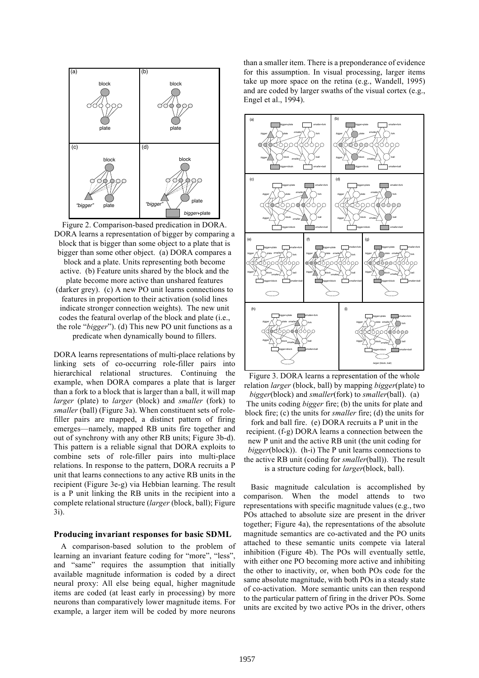

Figure 2. Comparison-based predication in DORA. DORA learns a representation of bigger by comparing a block that is bigger than some object to a plate that is bigger than some other object. (a) DORA compares a block and a plate. Units representing both become active. (b) Feature units shared by the block and the plate become more active than unshared features (darker grey). (c) A new PO unit learns connections to features in proportion to their activation (solid lines indicate stronger connection weights). The new unit codes the featural overlap of the block and plate (i.e., the role "*bigger*"). (d) This new PO unit functions as a predicate when dynamically bound to fillers.

DORA learns representations of multi-place relations by linking sets of co-occurring role-filler pairs into hierarchical relational structures. Continuing the example, when DORA compares a plate that is larger than a fork to a block that is larger than a ball, it will map *larger* (plate) to *larger* (block) and *smaller* (fork) to *smaller* (ball) (Figure 3a). When constituent sets of rolefiller pairs are mapped, a distinct pattern of firing emerges—namely, mapped RB units fire together and out of synchrony with any other RB units; Figure 3b-d). This pattern is a reliable signal that DORA exploits to combine sets of role-filler pairs into multi-place relations. In response to the pattern, DORA recruits a P unit that learns connections to any active RB units in the recipient (Figure 3e-g) via Hebbian learning. The result is a P unit linking the RB units in the recipient into a complete relational structure (*larger* (block, ball); Figure 3i).

### **Producing invariant responses for basic SDML**

A comparison-based solution to the problem of learning an invariant feature coding for "more", "less", and "same" requires the assumption that initially available magnitude information is coded by a direct neural proxy: All else being equal, higher magnitude items are coded (at least early in processing) by more neurons than comparatively lower magnitude items. For example, a larger item will be coded by more neurons than a smaller item. There is a preponderance of evidence for this assumption. In visual processing, larger items take up more space on the retina (e.g., Wandell, 1995) and are coded by larger swaths of the visual cortex (e.g., Engel et al., 1994).



Figure 3. DORA learns a representation of the whole relation *larger* (block, ball) by mapping *bigger*(plate) to *bigger*(block) and *smaller*(fork) to *smaller*(ball). (a) The units coding *bigger* fire; (b) the units for plate and block fire; (c) the units for *smaller* fire; (d) the units for fork and ball fire. (e) DORA recruits a P unit in the recipient. (f-g) DORA learns a connection between the new P unit and the active RB unit (the unit coding for *bigger*(block)). (h-i) The P unit learns connections to the active RB unit (coding for *smaller*(ball)). The result is a structure coding for *larger*(block, ball).

Basic magnitude calculation is accomplished by comparison. When the model attends to two representations with specific magnitude values (e.g., two POs attached to absolute size are present in the driver together; Figure 4a), the representations of the absolute magnitude semantics are co-activated and the PO units attached to these semantic units compete via lateral inhibition (Figure 4b). The POs will eventually settle, with either one PO becoming more active and inhibiting the other to inactivity, or, when both POs code for the same absolute magnitude, with both POs in a steady state of co-activation. More semantic units can then respond to the particular pattern of firing in the driver POs. Some units are excited by two active POs in the driver, others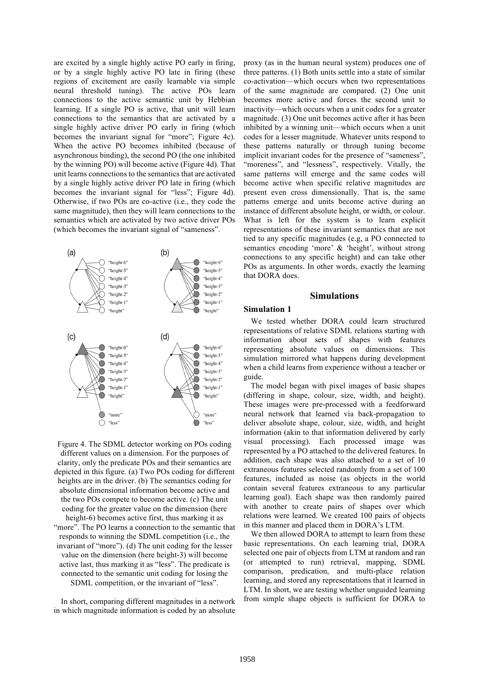are excited by a single highly active PO early in firing, or by a single highly active PO late in firing (these regions of excitement are easily learnable via simple neural threshold tuning). The active POs learn connections to the active semantic unit by Hebbian learning. If a single PO is active, that unit will learn connections to the semantics that are activated by a single highly active driver PO early in firing (which becomes the invariant signal for "more"; Figure 4c). When the active PO becomes inhibited (because of asynchronous binding), the second PO (the one inhibited by the winning PO) will become active (Figure 4d). That unit learns connections to the semantics that are activated by a single highly active driver PO late in firing (which becomes the invariant signal for "less"; Figure 4d). Otherwise, if two POs are co-active (i.e., they code the same magnitude), then they will learn connections to the semantics which are activated by two active driver POs (which becomes the invariant signal of "sameness".



Figure 4. The SDML detector working on POs coding different values on a dimension. For the purposes of clarity, only the predicate POs and their semantics are depicted in this figure. (a) Two POs coding for different heights are in the driver. (b) The semantics coding for absolute dimensional information become active and the two POs compete to become active. (c) The unit coding for the greater value on the dimension (here height-6) becomes active first, thus marking it as "more". The PO learns a connection to the semantic that responds to winning the SDML competition (i.e., the invariant of "more"). (d) The unit coding for the lesser value on the dimension (here height-3) will become active last, thus marking it as "less". The predicate is connected to the semantic unit coding for losing the SDML competition, or the invariant of "less".

In short, comparing different magnitudes in a network in which magnitude information is coded by an absolute

proxy (as in the human neural system) produces one of three patterns. (1) Both units settle into a state of similar co-activation—which occurs when two representations of the same magnitude are compared. (2) One unit becomes more active and forces the second unit to inactivity—which occurs when a unit codes for a greater magnitude. (3) One unit becomes active after it has been inhibited by a winning unit—which occurs when a unit codes for a lesser magnitude. Whatever units respond to these patterns naturally or through tuning become implicit invariant codes for the presence of "sameness", "moreness", and "lessness", respectively. Vitally, the same patterns will emerge and the same codes will become active when specific relative magnitudes are present even cross dimensionally. That is, the same patterns emerge and units become active during an instance of different absolute height, or width, or colour. What is left for the system is to learn explicit representations of these invariant semantics that are not tied to any specific magnitudes (e.g, a PO connected to semantics encoding 'more' & 'height', without strong connections to any specific height) and can take other POs as arguments. In other words, exactly the learning that DORA does.

# **Simulations**

### **Simulation 1**

We tested whether DORA could learn structured representations of relative SDML relations starting with information about sets of shapes with features representing absolute values on dimensions. This simulation mirrored what happens during development when a child learns from experience without a teacher or guide.

The model began with pixel images of basic shapes (differing in shape, colour, size, width, and height). These images were pre-processed with a feedforward neural network that learned via back-propagation to deliver absolute shape, colour, size, width, and height information (akin to that information delivered by early visual processing). Each processed image was represented by a PO attached to the delivered features. In addition, each shape was also attached to a set of 10 extraneous features selected randomly from a set of 100 features, included as noise (as objects in the world contain several features extraneous to any particular learning goal). Each shape was then randomly paired with another to create pairs of shapes over which relations were learned. We created 100 pairs of objects in this manner and placed them in DORA's LTM.

We then allowed DORA to attempt to learn from these basic representations. On each learning trial, DORA selected one pair of objects from LTM at random and ran (or attempted to run) retrieval, mapping, SDML comparison, predication, and multi-place relation learning, and stored any representations that it learned in LTM. In short, we are testing whether unguided learning from simple shape objects is sufficient for DORA to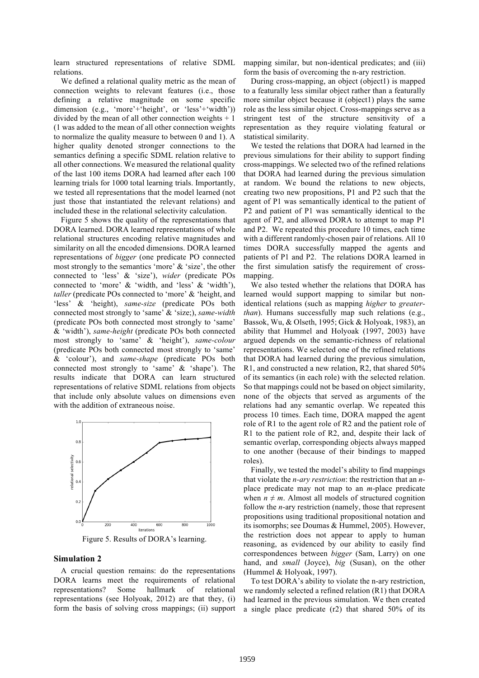learn structured representations of relative SDML mapping similar, but non-identical predicates; and (iii) relations.

We defined a relational quality metric as the mean of connection weights to relevant features (i.e., those defining a relative magnitude on some specific dimension (e.g., 'more'+'height', or 'less'+'width')) divided by the mean of all other connection weights  $+1$ (1 was added to the mean of all other connection weights to normalize the quality measure to between 0 and 1). A higher quality denoted stronger connections to the semantics defining a specific SDML relation relative to all other connections. We measured the relational quality of the last 100 items DORA had learned after each 100 learning trials for 1000 total learning trials. Importantly, we tested all representations that the model learned (not just those that instantiated the relevant relations) and included these in the relational selectivity calculation.

Figure 5 shows the quality of the representations that DORA learned. DORA learned representations of whole relational structures encoding relative magnitudes and similarity on all the encoded dimensions. DORA learned representations of *bigger* (one predicate PO connected most strongly to the semantics 'more' & 'size', the other connected to 'less' & 'size'), *wider* (predicate POs connected to 'more' & 'width, and 'less' & 'width'), *taller* (predicate POs connected to 'more' & 'height, and 'less' & 'height), *same-size* (predicate POs both connected most strongly to 'same' & 'size;), *same-width* (predicate POs both connected most strongly to 'same' & 'width'), *same-height* (predicate POs both connected most strongly to 'same' & 'height'), *same-colour* (predicate POs both connected most strongly to 'same' & 'colour'), and *same-shape* (predicate POs both connected most strongly to 'same' & 'shape'). The results indicate that DORA can learn structured representations of relative SDML relations from objects that include only absolute values on dimensions even with the addition of extraneous noise.



Figure 5. Results of DORA's learning.

## **Simulation 2**

A crucial question remains: do the representations DORA learns meet the requirements of relational representations? Some hallmark of relational representations (see Holyoak, 2012) are that they, (i) form the basis of solving cross mappings; (ii) support form the basis of overcoming the n-ary restriction.

During cross-mapping, an object (object1) is mapped to a featurally less similar object rather than a featurally more similar object because it (object1) plays the same role as the less similar object. Cross-mappings serve as a stringent test of the structure sensitivity of a representation as they require violating featural or statistical similarity.

We tested the relations that DORA had learned in the previous simulations for their ability to support finding cross-mappings. We selected two of the refined relations that DORA had learned during the previous simulation at random. We bound the relations to new objects, creating two new propositions, P1 and P2 such that the agent of P1 was semantically identical to the patient of P2 and patient of P1 was semantically identical to the agent of P2, and allowed DORA to attempt to map P1 and P2. We repeated this procedure 10 times, each time with a different randomly-chosen pair of relations. All 10 times DORA successfully mapped the agents and patients of P1 and P2. The relations DORA learned in the first simulation satisfy the requirement of crossmapping.

We also tested whether the relations that DORA has learned would support mapping to similar but nonidentical relations (such as mapping *higher* to *greaterthan*). Humans successfully map such relations (e.g., Bassok, Wu, & Olseth, 1995; Gick & Holyoak, 1983), an ability that Hummel and Holyoak (1997, 2003) have argued depends on the semantic-richness of relational representations. We selected one of the refined relations that DORA had learned during the previous simulation, R1, and constructed a new relation, R2, that shared 50% of its semantics (in each role) with the selected relation. So that mappings could not be based on object similarity, none of the objects that served as arguments of the relations had any semantic overlap. We repeated this process 10 times. Each time, DORA mapped the agent role of R1 to the agent role of R2 and the patient role of R1 to the patient role of R2, and, despite their lack of semantic overlap, corresponding objects always mapped to one another (because of their bindings to mapped roles).

Finally, we tested the model's ability to find mappings that violate the *n-ary restriction*: the restriction that an *n*place predicate may not map to an *m*-place predicate when  $n \neq m$ . Almost all models of structured cognition follow the *n*-ary restriction (namely, those that represent propositions using traditional propositional notation and its isomorphs; see Doumas & Hummel, 2005). However, the restriction does not appear to apply to human reasoning, as evidenced by our ability to easily find correspondences between *bigger* (Sam, Larry) on one hand, and *small* (Joyce), *big* (Susan), on the other (Hummel & Holyoak, 1997).

To test DORA's ability to violate the n-ary restriction, we randomly selected a refined relation (R1) that DORA had learned in the previous simulation. We then created a single place predicate (r2) that shared 50% of its